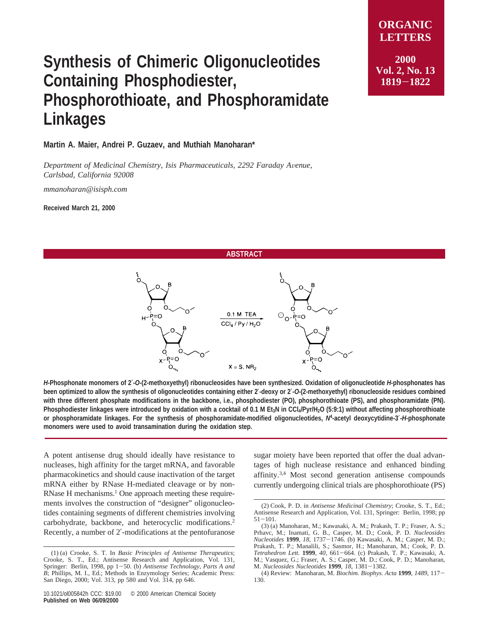## **Synthesis of Chimeric Oligonucleotides Containing Phosphodiester, Phosphorothioate, and Phosphoramidate Linkages**

**Martin A. Maier, Andrei P. Guzaev, and Muthiah Manoharan\***

*Department of Medicinal Chemistry, Isis Pharmaceuticals, 2292 Faraday A*V*enue, Carlsbad, California 92008*

*mmanoharan@isisph.com*

**Received March 21, 2000**

**ABSTRACT**



*H***-Phosphonate monomers of 2**′**-***O***-(2-methoxyethyl) ribonucleosides have been synthesized. Oxidation of oligonucleotide** *H***-phosphonates has been optimized to allow the synthesis of oligonucleotides containing either 2**′**-deoxy or 2**′**-***O***-(2-methoxyethyl) ribonucleoside residues combined with three different phosphate modifications in the backbone, i.e., phosphodiester (PO), phosphorothioate (PS), and phosphoramidate (PN).** Phosphodiester linkages were introduced by oxidation with a cocktail of 0.1 M Et<sub>3</sub>N in CCl<sub>4</sub>/Pyr/H<sub>2</sub>O (5:9:1) without affecting phosphorothioate **or phosphoramidate linkages. For the synthesis of phosphoramidate-modified oligonucleotides,** *N***<sup>4</sup> -acetyl deoxycytidine-3**′**-***H***-phosphonate monomers were used to avoid transamination during the oxidation step.**

A potent antisense drug should ideally have resistance to nucleases, high affinity for the target mRNA, and favorable pharmacokinetics and should cause inactivation of the target mRNA either by RNase H-mediated cleavage or by non-RNase  $H$  mechanisms.<sup>1</sup> One approach meeting these requirements involves the construction of "designer" oligonucleotides containing segments of different chemistries involving carbohydrate, backbone, and heterocyclic modifications.<sup>2</sup> Recently, a number of 2′-modifications at the pentofuranose

sugar moiety have been reported that offer the dual advantages of high nuclease resistance and enhanced binding affinity.3,4 Most second generation antisense compounds currently undergoing clinical trials are phosphorothioate (PS)

**<sup>1819</sup>**-**<sup>1822</sup>**

<sup>(1) (</sup>a) Crooke, S. T. In *Basic Principles of Antisense Therapeutics*; Crooke, S. T., Ed.; Antisense Research and Application, Vol. 131, Springer: Berlin, 1998, pp 1-50. (b) *Antisense Technology*, *Parts A and B*; Phillips, M. I., Ed.; Methods in Enzymology Series; Academic Press: San Diego, 2000; Vol. 313, pp 580 and Vol. 314, pp 646.

<sup>(2)</sup> Cook, P. D. in *Antisense Medicinal Chemistry*; Crooke, S. T., Ed.; Antisense Research and Application, Vol. 131, Springer: Berlin, 1998; pp  $51 - 101$ .

<sup>(3) (</sup>a) Manoharan, M.; Kawasaki, A. M.; Prakash, T. P.; Fraser, A. S.; Prhavc, M.; Inamati, G. B., Casper, M. D.; Cook, P. D. *Nucleosides Nucleotides* **<sup>1999</sup>**, *<sup>18</sup>*, 1737-1746. (b) Kawasaki, A. M.; Casper, M. D.; Prakash, T. P.; Manalili, S.; Sasmor, H.; Manoharan, M.; Cook, P. D. *Tetrahedron Lett.* **<sup>1999</sup>**, *<sup>40</sup>*, 661-664. (c) Prakash, T. P.; Kawasaki, A. M.; Vasquez, G.; Fraser, A. S.; Casper, M. D.; Cook, P. D.; Manoharan, M. *Nucleosides Nucleotides* **<sup>1999</sup>**, *<sup>18</sup>*, 1381-1382.

<sup>(4)</sup> Review: Manoharan, M. *Biochim. Biophys. Acta* **<sup>1999</sup>**, *1489,* <sup>117</sup>- 130.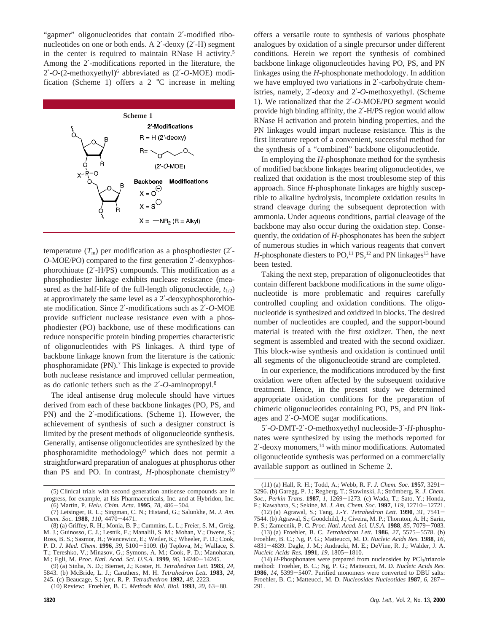"gapmer" oligonucleotides that contain 2′-modified ribonucleotides on one or both ends. A 2′-deoxy (2′-H) segment in the center is required to maintain RNase H activity.5 Among the 2′-modifications reported in the literature, the 2′-*O*-(2-methoxyethyl)6 abbreviated as (2′-*O*-MOE) modification (Scheme 1) offers a  $2 \text{ °C}$  increase in melting



temperature  $(T<sub>m</sub>)$  per modification as a phosphodiester  $(2')$ -*O*-MOE/PO) compared to the first generation 2′-deoxyphosphorothioate (2′-H/PS) compounds. This modification as a phosphodiester linkage exhibits nuclease resistance (measured as the half-life of the full-length oligonucleotide,  $t_{1/2}$ ) at approximately the same level as a 2′-deoxyphosphorothioate modification. Since 2′-modifications such as 2′-*O*-MOE provide sufficient nuclease resistance even with a phosphodiester (PO) backbone, use of these modifications can reduce nonspecific protein binding properties characteristic of oligonucleotides with PS linkages. A third type of backbone linkage known from the literature is the cationic phosphoramidate (PN).<sup>7</sup> This linkage is expected to provide both nuclease resistance and improved cellular permeation, as do cationic tethers such as the 2′-*O*-aminopropyl.8

The ideal antisense drug molecule should have virtues derived from each of these backbone linkages (PO, PS, and PN) and the 2′-modifications. (Scheme 1). However, the achievement of synthesis of such a designer construct is limited by the present methods of oligonucleotide synthesis. Generally, antisense oligonucleotides are synthesized by the phosphoramidite methodology9 which does not permit a straightforward preparation of analogues at phosphorus other than PS and PO. In contrast, *H*-phosphonate chemistry<sup>10</sup> offers a versatile route to synthesis of various phosphate analogues by oxidation of a single precursor under different conditions. Herein we report the synthesis of combined backbone linkage oligonucleotides having PO, PS, and PN linkages using the *H*-phosphonate methodology. In addition we have employed two variations in 2'-carbohydrate chemistries, namely, 2′-deoxy and 2′-*O*-methoxyethyl. (Scheme 1). We rationalized that the 2′-*O*-MOE/PO segment would provide high binding affinity, the 2′-H/PS region would allow RNase H activation and protein binding properties, and the PN linkages would impart nuclease resistance. This is the first literature report of a convenient, successful method for the synthesis of a "combined" backbone oligonucleotide.

In employing the *H*-phosphonate method for the synthesis of modified backbone linkages bearing oligonucleotides, we realized that oxidation is the most troublesome step of this approach. Since *H*-phosphonate linkages are highly susceptible to alkaline hydrolysis, incomplete oxidation results in strand cleavage during the subsequent deprotection with ammonia. Under aqueous conditions, partial cleavage of the backbone may also occur during the oxidation step. Consequently, the oxidation of *H*-phosphonates has been the subject of numerous studies in which various reagents that convert *H*-phosphonate diesters to PO,<sup>11</sup> PS,<sup>12</sup> and PN linkages<sup>13</sup> have been tested.

Taking the next step, preparation of oligonucleotides that contain different backbone modifications in the *same* oligonucleotide is more problematic and requires carefully controlled coupling and oxidation conditions. The oligonucleotide is synthesized and oxidized in blocks. The desired number of nucleotides are coupled, and the support-bound material is treated with the first oxidizer. Then, the next segment is assembled and treated with the second oxidizer. This block-wise synthesis and oxidation is continued until all segments of the oligonucleotide strand are completed.

In our experience, the modifications introduced by the first oxidation were often affected by the subsequent oxidative treatment. Hence, in the present study we determined appropriate oxidation conditions for the preparation of chimeric oligonucleotides containing PO, PS, and PN linkages and 2′-*O*-MOE sugar modifications.

5′-*O*-DMT-2′-*O*-methoxyethyl nucleoside-3′-*H*-phosphonates were synthesized by using the methods reported for 2′-deoxy monomers,14 with minor modifications. Automated oligonucleotide synthesis was performed on a commercially available support as outlined in Scheme 2.

<sup>(5)</sup> Clinical trials with second generation antisense compounds are in progress, for example, at Isis Pharmaceuticals, Inc. and at Hybridon, Inc. (6) Martin, P. *Hel*V*. Chim. Acta*. **<sup>1995</sup>**, *<sup>78</sup>*, 486-504.

<sup>(7)</sup> Letsinger, R. L.; Singman, C. N.; Histand, G.; Salunkhe, M. *J. Am. Chem. Soc.* **<sup>1988</sup>**, *<sup>110</sup>*, 4470-4471.

<sup>(8) (</sup>a) Griffey, R. H.; Monia, B. P.; Cummins, L. L.; Freier, S. M., Greig, M. J.; Guinosso, C. J.; Lesnik, E.; Manalili, S. M.; Mohan, V.; Owens, S.; Ross, B. S.; Sasmor, H.; Wancewicz, E.; Weiler, K.; Wheeler, P. D.; Cook, P. D. *J. Med. Chem.* **<sup>1996</sup>**, *<sup>39</sup>*, 5100-5109. (b) Teplova, M.; Wallace, S. T.; Tereshko, V.; Minasov, G.; Symons, A. M.; Cook, P. D.; Manoharan, M.; Egli, M. *Proc. Natl. Acad. Sci. U.S.A.* **<sup>1999</sup>**, *96,* <sup>14240</sup>-14245.

<sup>(9) (</sup>a) Sinha, N. D.; Biernet, J.; Koster, H. *Tetrahedron Lett.* **1983**, *24*, 5843. (b) McBride, L. J.; Caruthers, M. H. *Tetrahedron Lett.* **1983**, *24*, 245. (c) Beaucage, S.; Iyer, R. P. *Tetradhedron* **1992**, *48*, 2223.

<sup>(10)</sup> Review: Froehler, B. C. *Methods Mol. Biol.* **<sup>1993</sup>**, *<sup>20</sup>*, 63-80.

<sup>(11) (</sup>a) Hall, R. H.; Todd, A.; Webb, R. F. *J. Chem. Soc.* **<sup>1957</sup>**, 3291- 3296. (b) Garegg, P. J.; Regberg, T.; Stawinski, J.; Strömberg, R. *J. Chem. Soc., Perkin Trans.* **<sup>1987</sup>**, *<sup>1</sup>*, 1269-1273. (c) Wada, T.; Sato, Y.; Honda, F.; Kawahara, S.; Sekine, M. *J. Am. Chem. Soc.* **<sup>1997</sup>**, *<sup>119</sup>*, 12710-12721. (12) (a) Agrawal, S.; Tang, J.-Y. *Tetrahedron Lett.* **<sup>1990</sup>**, *<sup>31</sup>*, 7541- 7544. (b) Agrawal, S.; Goodchild, J.; Civeira, M. P.; Thornton, A. H.; Sarin,

P. S.; Zamecnik, P. C. *Proc. Natl. Acad. Sci. U.S.A.* **<sup>1988</sup>**, *<sup>85</sup>*, 7079-7083. (13) (a) Froehler, B. C. *Tetrahedron Lett.* **<sup>1986</sup>**, *<sup>27</sup>*, 5575-5578. (b)

Froehler, B. C.; Ng, P. G.; Matteucci, M. D. *Nucleic Acids Res.* **1988**, *16*, <sup>4831</sup>-4839. Dagle, J. M.; Andracki, M. E.; DeVine, R. J.; Walder, J. A. *Nucleic Acids Res.* **<sup>1991</sup>**, *<sup>19</sup>*, 1805-1810.

<sup>(14)</sup> *H*-Phosphonates were prepared from nucleosides by PCl<sub>3</sub>/triazole method: Froehler, B. C.; Ng, P. G.; Matteucci, M. D. *Nucleic Acids Res.* **<sup>1986</sup>**, *<sup>14</sup>*, 5399-5407. Purified monomers were converted to DBU salts: Froehler, B. C.; Matteucci, M. D. *Nucleosides Nucleotides* **<sup>1987</sup>**, *<sup>6</sup>*, 287- 291.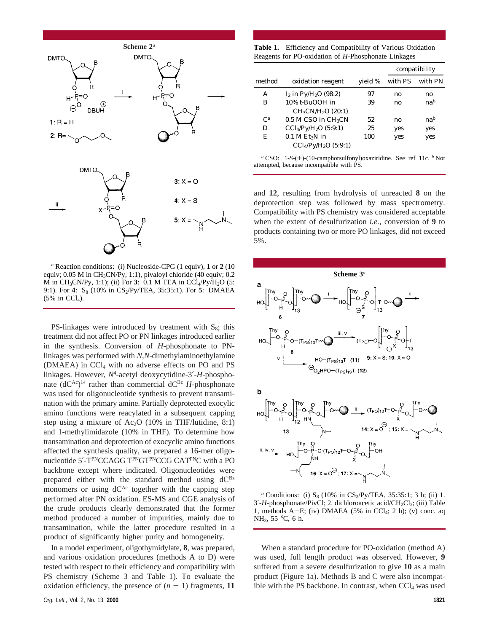

*<sup>a</sup>* Reaction conditions: (i) Nucleoside-CPG (1 equiv), **1** or **2** (10 equiv; 0.05 M in CH3CN/Py, 1:1), pivaloyl chloride (40 equiv; 0.2 M in CH<sub>3</sub>CN/Py, 1:1); (ii) For  $3: 0.1$  M TEA in CCl<sub>4</sub>/Py/H<sub>2</sub>O (5: 9:1). For 4: S<sub>8</sub> (10% in CS<sub>2</sub>/Py/TEA, 35:35:1). For 5: DMAEA  $(5\%$  in CCl<sub>4</sub>).

PS-linkages were introduced by treatment with  $S_8$ ; this treatment did not affect PO or PN linkages introduced earlier in the synthesis. Conversion of *H*-phosphonate to PNlinkages was performed with *N*,*N*-dimethylaminoethylamine (DMAEA) in CCl4 with no adverse effects on PO and PS linkages. However, *N*4-acetyl deoxycytidine-3′-*H*-phosphonate  $(dC^{Ac})^{14}$  rather than commercial  $dC^{Bz}$  *H*-phosphonate was used for oligonucleotide synthesis to prevent transamination with the primary amine. Partially deprotected exocylic amino functions were reacylated in a subsequent capping step using a mixture of Ac<sub>2</sub>O (10% in THF/lutidine, 8:1) and 1-methylimidazole (10% in THF). To determine how transamination and deprotection of exocyclic amino functions affected the synthesis quality, we prepared a 16-mer oligonucleotide 5'-T<sup>PN</sup>CCAGG T<sup>PN</sup>GT<sup>PN</sup>CCG CAT<sup>PN</sup>C with a PO backbone except where indicated. Oligonucleotides were prepared either with the standard method using  $dC^{Bz}$ monomers or using  $dC^{Ac}$  together with the capping step performed after PN oxidation. ES-MS and CGE analysis of the crude products clearly demonstrated that the former method produced a number of impurities, mainly due to transamination, while the latter procedure resulted in a product of significantly higher purity and homogeneity.

In a model experiment, oligothymidylate, **8**, was prepared, and various oxidation procedures (methods A to D) were tested with respect to their efficiency and compatibility with PS chemistry (Scheme 3 and Table 1). To evaluate the oxidation efficiency, the presence of  $(n - 1)$  fragments, 11

**Table 1.** Efficiency and Compatibility of Various Oxidation Reagents for PO-oxidation of *H*-Phosphonate Linkages

|        |                                     |         | compatibility |                 |
|--------|-------------------------------------|---------|---------------|-----------------|
| method | oxidation reagent                   | yield % | with PS       | with PN         |
| А      | $I_2$ in Py/H <sub>2</sub> O (98:2) | 97      | no            | no              |
| в      | 10% t-BuOOH in                      | 39      | no            | na <sup>b</sup> |
|        | $CH_3CN/H_2O(20:1)$                 |         |               |                 |
| $C^a$  | $0.5$ M CSO in CH <sub>3</sub> CN   | 52      | no            | na <sup>b</sup> |
| D      | $CCl_4/PV/H_2O$ (5:9:1)             | 25      | yes           | yes             |
| E      | $0.1$ M EtaN in                     | 100     | yes           | yes             |
|        | $CCl4/Py/H2O$ (5:9:1)               |         |               |                 |

*<sup>a</sup>* CSO: 1-*S*-(+)-(10-camphorsulfonyl)oxaziridine. See ref 11c. *<sup>b</sup>* Not attempted, because incompatible with PS.

and **12**, resulting from hydrolysis of unreacted **8** on the deprotection step was followed by mass spectrometry. Compatibility with PS chemistry was considered acceptable when the extent of desulfurization *i.e.*, conversion of **9** to products containing two or more PO linkages, did not exceed 5%.



*a* Conditions: (i)  $S_8$  (10% in CS<sub>2</sub>/Py/TEA, 35:35:1; 3 h; (ii) 1. 3'-*H*-phosphonate/PivCl; 2. dichloroacetic acid/CH<sub>2</sub>Cl<sub>2</sub>; (iii) Table 1, methods  $A-E$ ; (iv) DMAEA (5% in CCl<sub>4</sub>; 2 h); (v) conc. aq NH3, 55 °C, 6 h.

When a standard procedure for PO-oxidation (method A) was used, full length product was observed. However, **9** suffered from a severe desulfurization to give **10** as a main product (Figure 1a). Methods B and C were also incompatible with the PS backbone. In contrast, when  $CCL$  was used